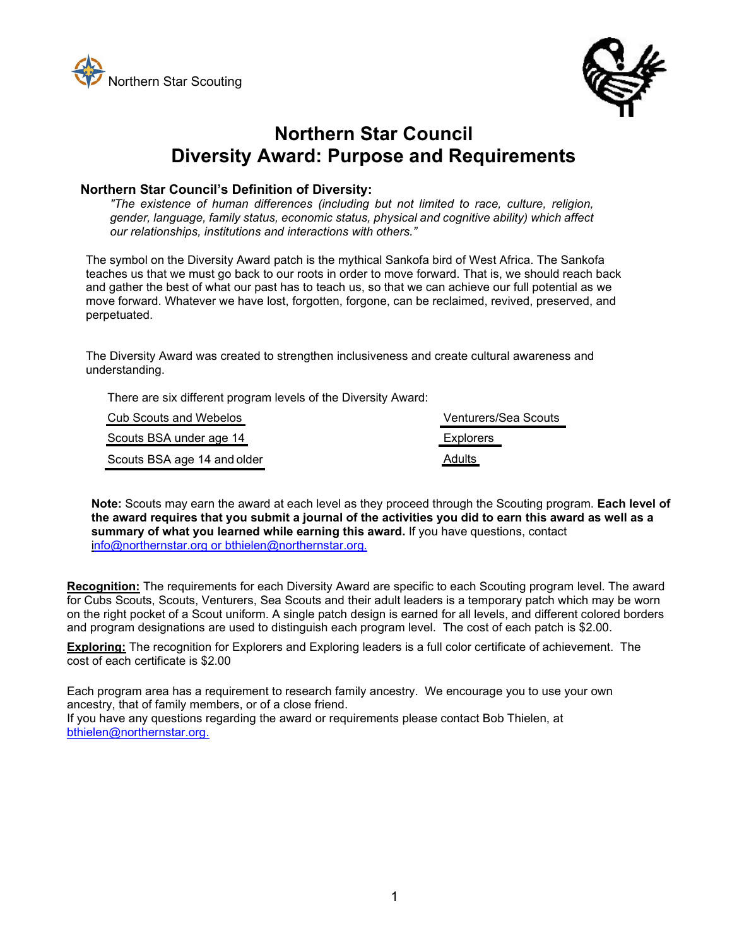



# **Northern Star Council Diversity Award: Purpose and Requirements**

#### **Northern Star Council's Definition of Diversity:**

*"The existence of human differences (including but not limited to race, culture, religion, gender, language, family status, economic status, physical and cognitive ability) which affect our relationships, institutions and interactions with others."*

The symbol on the Diversity Award patch is the mythical Sankofa bird of West Africa. The Sankofa teaches us that we must go back to our roots in order to move forward. That is, we should reach back and gather the best of what our past has to teach us, so that we can achieve our full potential as we move forward. Whatever we have lost, forgotten, forgone, can be reclaimed, revived, preserved, and perpetuated.

The Diversity Award was created to strengthen inclusiveness and create cultural awareness and understanding.

| There are six different program levels of the Diversity Award: |  |
|----------------------------------------------------------------|--|
| - - -                                                          |  |

| Cub Scouts and Webelos      | <b>Venturers/Sea Scouts</b> |
|-----------------------------|-----------------------------|
| Scouts BSA under age 14     | Explorers                   |
| Scouts BSA age 14 and older | <b>Adults</b>               |

**Note:** Scouts may earn the award at each level as they proceed through the Scouting program. **Each level of the award requires that you submit a journal of the activities you did to earn this award as well as a summary of what you learned while earning this award.** If you have questions, contact info@northernstar.org or bthielen@northernstar.org*.*

**Recognition:** The requirements for each Diversity Award are specific to each Scouting program level. The award for Cubs Scouts, Scouts, Venturers, Sea Scouts and their adult leaders is a temporary patch which may be worn on the right pocket of a Scout uniform. A single patch design is earned for all levels, and different colored borders and program designations are used to distinguish each program level. The cost of each patch is \$2.00.

**Exploring:** The recognition for Explorers and Exploring leaders is a full color certificate of achievement. The cost of each certificate is \$2.00

Each program area has a requirement to research family ancestry. We encourage you to use your own ancestry, that of family members, or of a close friend.

If you have any questions regarding the award or requirements please contact Bob Thielen, at bthielen@northernstar.org.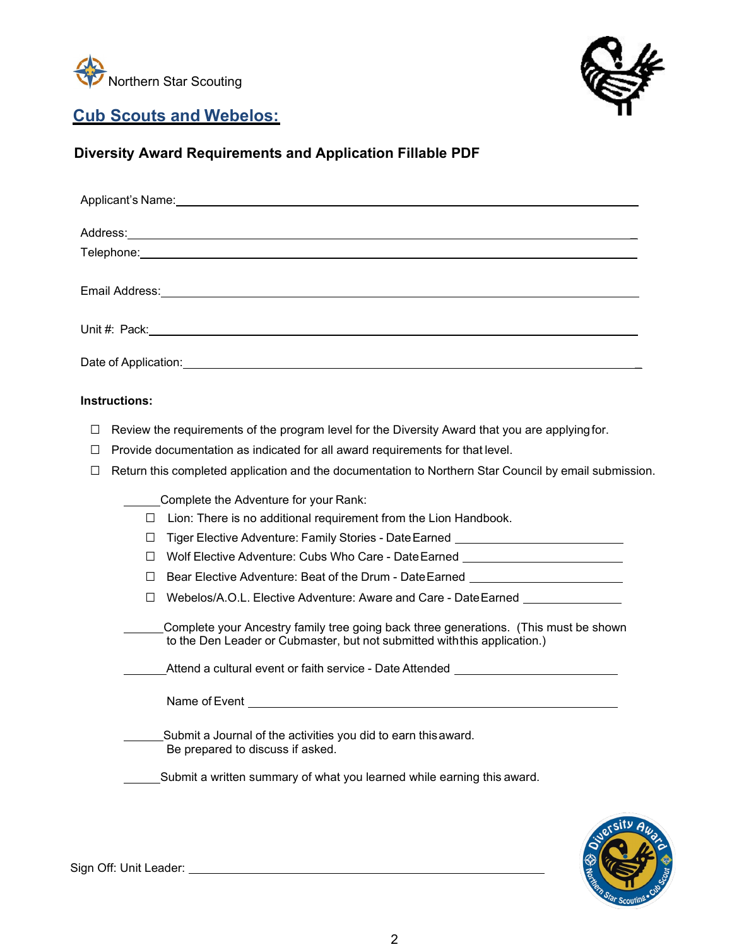<span id="page-1-0"></span>



## **Cub Scouts and Webelos:**

## **Diversity Award Requirements and Application Fillable PDF**

| Applicant's Name: <u>Applicant's</u> Name: Applicant is not a series of the series of the series of the series of the series of the series of the series of the series of the series of the series of the series of the series of t                                                                                |  |
|--------------------------------------------------------------------------------------------------------------------------------------------------------------------------------------------------------------------------------------------------------------------------------------------------------------------|--|
|                                                                                                                                                                                                                                                                                                                    |  |
|                                                                                                                                                                                                                                                                                                                    |  |
|                                                                                                                                                                                                                                                                                                                    |  |
|                                                                                                                                                                                                                                                                                                                    |  |
|                                                                                                                                                                                                                                                                                                                    |  |
| <b>Instructions:</b>                                                                                                                                                                                                                                                                                               |  |
| Review the requirements of the program level for the Diversity Award that you are applying for.<br>$\Box$<br>Provide documentation as indicated for all award requirements for that level.<br>$\Box$<br>Return this completed application and the documentation to Northern Star Council by email submission.<br>П |  |
| Complete the Adventure for your Rank:<br>Lion: There is no additional requirement from the Lion Handbook.<br>$\perp$                                                                                                                                                                                               |  |
| Tiger Elective Adventure: Family Stories - Date Earned _________________________<br>$\perp$<br>Wolf Elective Adventure: Cubs Who Care - Date Earned ___________________________<br>$\perp$                                                                                                                         |  |
| Bear Elective Adventure: Beat of the Drum - DateEarned Network Channel Adventure Channel Adventure Channel Adv<br>$\perp$                                                                                                                                                                                          |  |
| Webelos/A.O.L. Elective Adventure: Aware and Care - Date Earned ________________                                                                                                                                                                                                                                   |  |
| Complete your Ancestry family tree going back three generations. (This must be shown<br>to the Den Leader or Cubmaster, but not submitted with this application.)                                                                                                                                                  |  |
| Attend a cultural event or faith service - Date Attended                                                                                                                                                                                                                                                           |  |
| Name of Event and the contract of the contract of the contract of the contract of the contract of the contract of the contract of the contract of the contract of the contract of the contract of the contract of the contract                                                                                     |  |
| Submit a Journal of the activities you did to earn this award.<br>Be prepared to discuss if asked.                                                                                                                                                                                                                 |  |
| Submit a written summary of what you learned while earning this award.                                                                                                                                                                                                                                             |  |

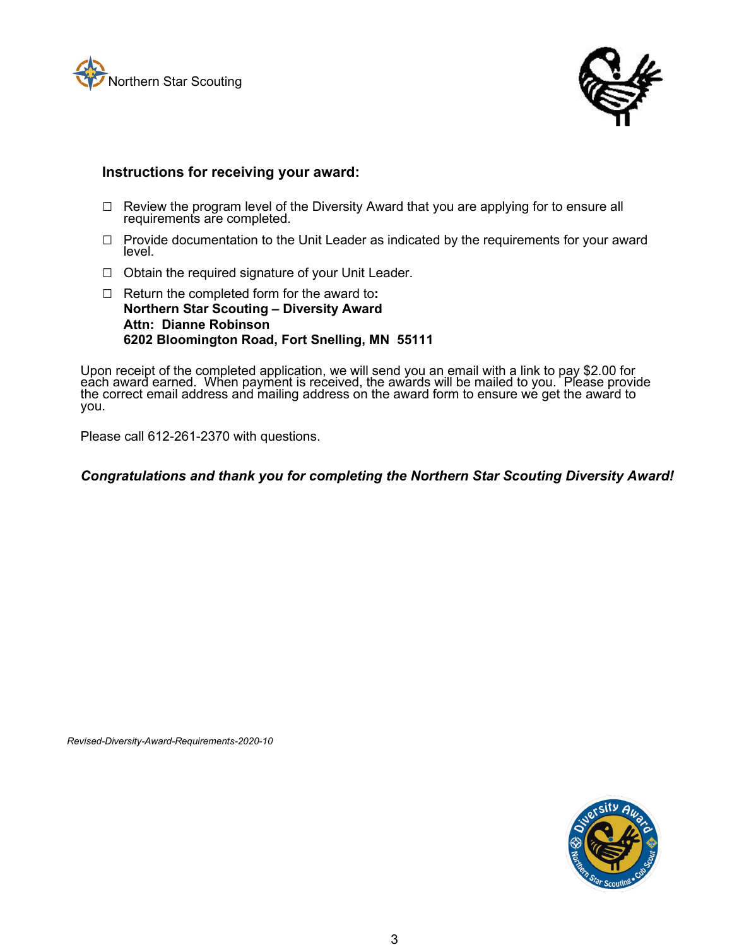



- □ Review the program level of the Diversity Award that you are applying for to ensure all requirements are completed.
- $\Box$  Provide documentation to the Unit Leader as indicated by the requirements for your award level.
- □ Obtain the required signature of your Unit Leader.
- □ Return the completed form for the award to**: Northern Star Scouting – Diversity Award Attn: Dianne Robinson 6202 Bloomington Road, Fort Snelling, MN 55111**

Upon receipt of the completed application, we will send you an email with a link to pay \$2.00 for each award earned. When payment is received, the awards will be mailed to you. Please provide the correct email address and mailing address on the award form to ensure we get the award to you.

Please call 612-261-2370 with questions.

#### *Congratulations and thank you for completing the Northern Star Scouting Diversity Award!*

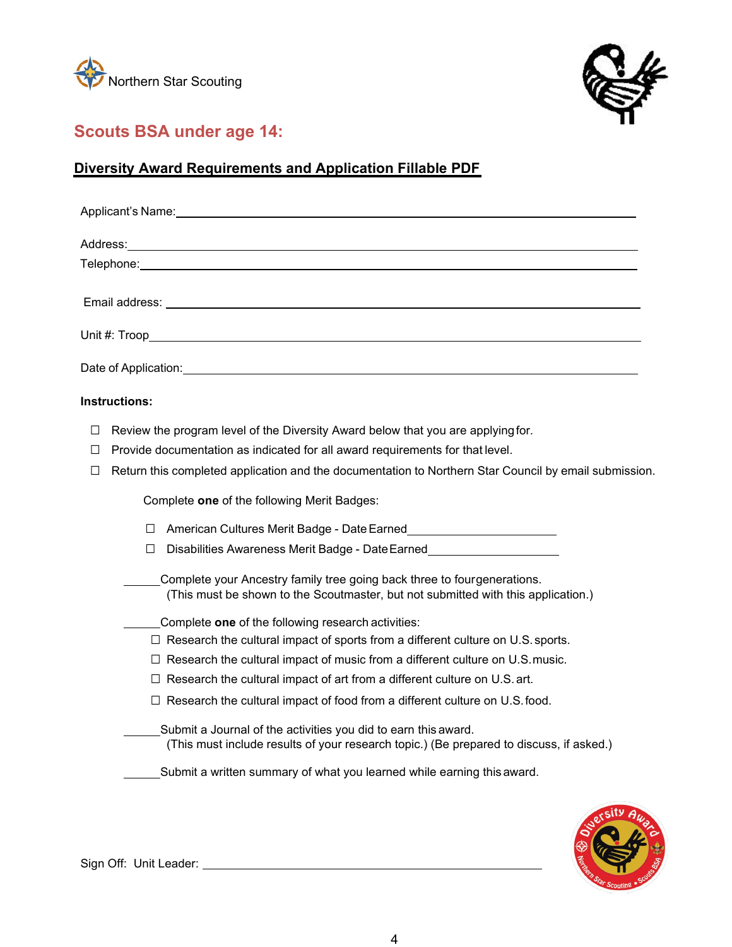<span id="page-3-0"></span>



# **Scouts BSA under age 14:**

# **Diversity Award Requirements and Application Fillable PDF**

| Applicant's Name:                                                                                                                                                                                                                    |
|--------------------------------------------------------------------------------------------------------------------------------------------------------------------------------------------------------------------------------------|
|                                                                                                                                                                                                                                      |
| Telephone: <u>www.community.com and a series of the series of the series of the series of the series of the series of the series of the series of the series of the series of the series of the series of the series of the seri</u> |
|                                                                                                                                                                                                                                      |
|                                                                                                                                                                                                                                      |
|                                                                                                                                                                                                                                      |
| <b>Instructions:</b>                                                                                                                                                                                                                 |
| Review the program level of the Diversity Award below that you are applying for.<br>⊔                                                                                                                                                |
| Provide documentation as indicated for all award requirements for that level.<br>$\Box$                                                                                                                                              |
| Return this completed application and the documentation to Northern Star Council by email submission.<br>$\Box$                                                                                                                      |
| Complete one of the following Merit Badges:                                                                                                                                                                                          |
| American Cultures Merit Badge - Date Earned <b>Markon</b> 2020<br>$\Box$                                                                                                                                                             |
| Disabilities Awareness Merit Badge - Date Earned________________________________<br>$\Box$                                                                                                                                           |
| Complete your Ancestry family tree going back three to fourgenerations.<br>(This must be shown to the Scoutmaster, but not submitted with this application.)                                                                         |
| Complete one of the following research activities:                                                                                                                                                                                   |
| $\Box$ Research the cultural impact of sports from a different culture on U.S. sports.                                                                                                                                               |
| $\Box$ Research the cultural impact of music from a different culture on U.S. music.                                                                                                                                                 |
| $\Box$ Research the cultural impact of art from a different culture on U.S. art.                                                                                                                                                     |
| $\Box$ Research the cultural impact of food from a different culture on U.S. food.                                                                                                                                                   |
| Submit a Journal of the activities you did to earn this award.<br>(This must include results of your research topic.) (Be prepared to discuss, if asked.)                                                                            |
| Submit a written summary of what you learned while earning this award.                                                                                                                                                               |
| .city A                                                                                                                                                                                                                              |



Sign Off: Unit Leader: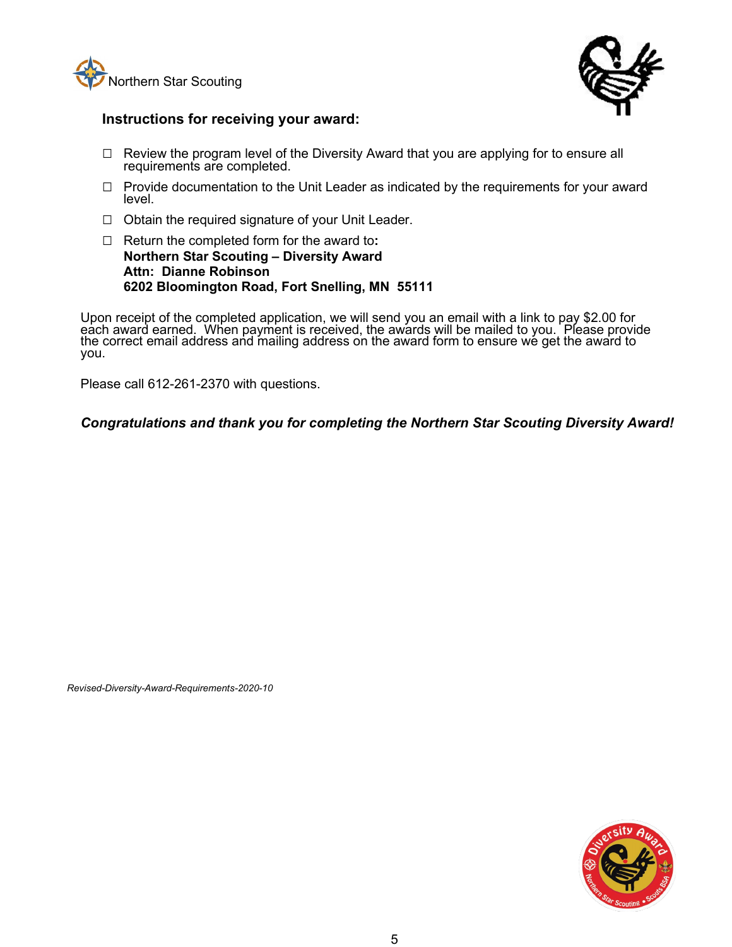



- $\Box$  Review the program level of the Diversity Award that you are applying for to ensure all requirements are completed.
- □ Provide documentation to the Unit Leader as indicated by the requirements for your award level.
- $\Box$  Obtain the required signature of your Unit Leader.
- □ Return the completed form for the award to**: Northern Star Scouting – Diversity Award Attn: Dianne Robinson 6202 Bloomington Road, Fort Snelling, MN 55111**

Upon receipt of the completed application, we will send you an email with a link to pay \$2.00 for each award earned. When payment is received, the awards will be mailed to you. Please provide the correct email address and mailing address on the award form to ensure we get the award to you.

Please call 612-261-2370 with questions.

*Congratulations and thank you for completing the Northern Star Scouting Diversity Award!*

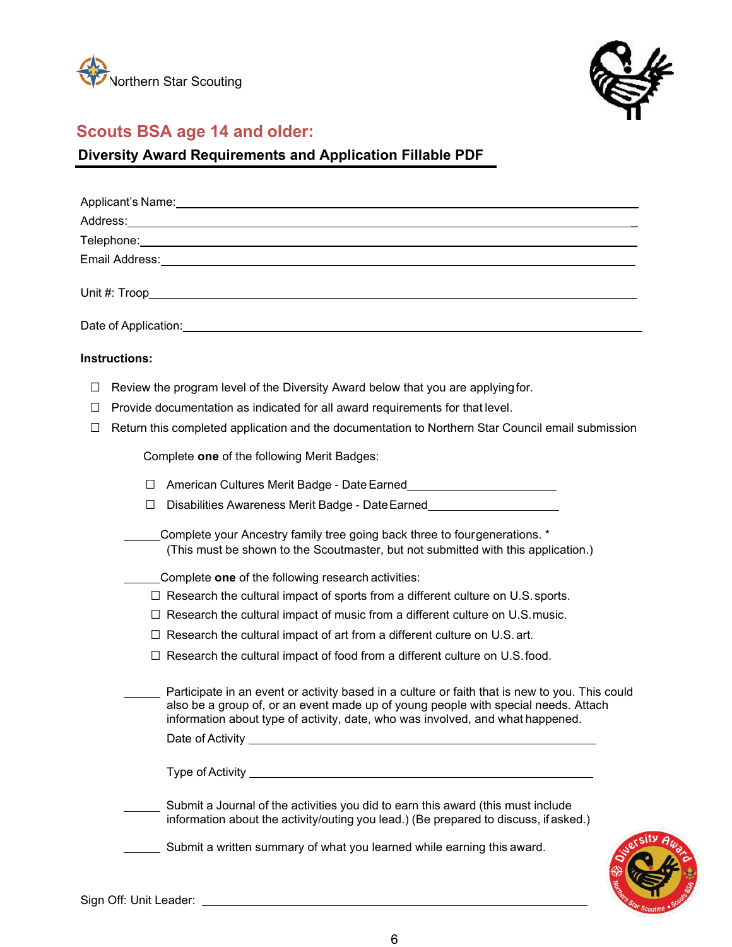<span id="page-5-0"></span>



## **Scouts BSA age 14 and older:**

# **Diversity Award Requirements and Application Fillable PDF**

| Telephone: www.androiden.com/www.androiden.com/www.androiden.com/www.androiden.com/www.androiden.com                                                                                                                                                                   |
|------------------------------------------------------------------------------------------------------------------------------------------------------------------------------------------------------------------------------------------------------------------------|
| Email Address: <u>Communications</u> Communications and Communications Communications and Communications Communications                                                                                                                                                |
|                                                                                                                                                                                                                                                                        |
| Date of Application: example of Application and the contract of the contract of Application and the contract of                                                                                                                                                        |
| <b>Instructions:</b>                                                                                                                                                                                                                                                   |
| Review the program level of the Diversity Award below that you are applying for.<br>$\Box$                                                                                                                                                                             |
| Provide documentation as indicated for all award requirements for that level.<br>П                                                                                                                                                                                     |
| Return this completed application and the documentation to Northern Star Council email submission<br>П                                                                                                                                                                 |
| Complete one of the following Merit Badges:                                                                                                                                                                                                                            |
| $\Box$                                                                                                                                                                                                                                                                 |
| Disabilities Awareness Merit Badge - Date Earned<br>$\Box$                                                                                                                                                                                                             |
| Complete your Ancestry family tree going back three to four generations. *<br>(This must be shown to the Scoutmaster, but not submitted with this application.)                                                                                                        |
| Complete one of the following research activities:                                                                                                                                                                                                                     |
| $\Box$ Research the cultural impact of sports from a different culture on U.S. sports.                                                                                                                                                                                 |
| $\Box$ Research the cultural impact of music from a different culture on U.S. music.                                                                                                                                                                                   |
| $\Box$ Research the cultural impact of art from a different culture on U.S. art.                                                                                                                                                                                       |
| $\Box$ Research the cultural impact of food from a different culture on U.S. food.                                                                                                                                                                                     |
| Participate in an event or activity based in a culture or faith that is new to you. This could<br>also be a group of, or an event made up of young people with special needs. Attach<br>information about type of activity, date, who was involved, and what happened. |
| Date of Activity                                                                                                                                                                                                                                                       |
|                                                                                                                                                                                                                                                                        |
| Submit a Journal of the activities you did to earn this award (this must include<br>information about the activity/outing you lead.) (Be prepared to discuss, if asked.)                                                                                               |
| Submit a written summary of what you learned while earning this award.                                                                                                                                                                                                 |

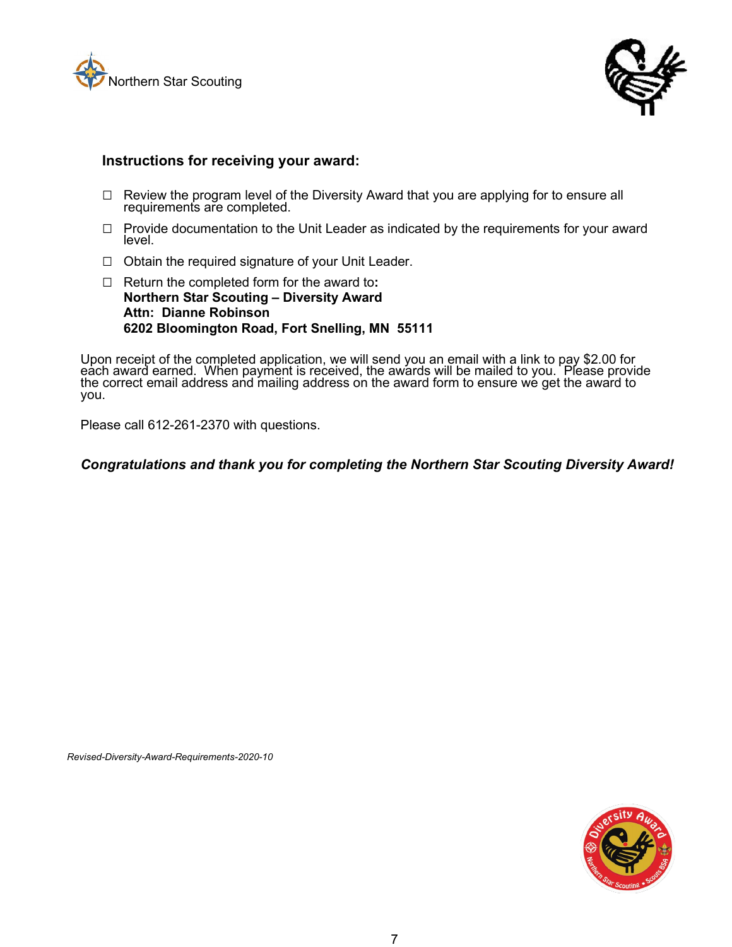



- $\Box$  Review the program level of the Diversity Award that you are applying for to ensure all requirements are completed.
- $\Box$  Provide documentation to the Unit Leader as indicated by the requirements for your award level.
- $\Box$  Obtain the required signature of your Unit Leader.
- □ Return the completed form for the award to**: Northern Star Scouting – Diversity Award Attn: Dianne Robinson 6202 Bloomington Road, Fort Snelling, MN 55111**

Upon receipt of the completed application, we will send you an email with a link to pay \$2.00 for each award earned. When payment is received, the awards will be mailed to you. Please provide the correct email address and mailing address on the award form to ensure we get the award to you.

Please call 612-261-2370 with questions.

#### *Congratulations and thank you for completing the Northern Star Scouting Diversity Award!*

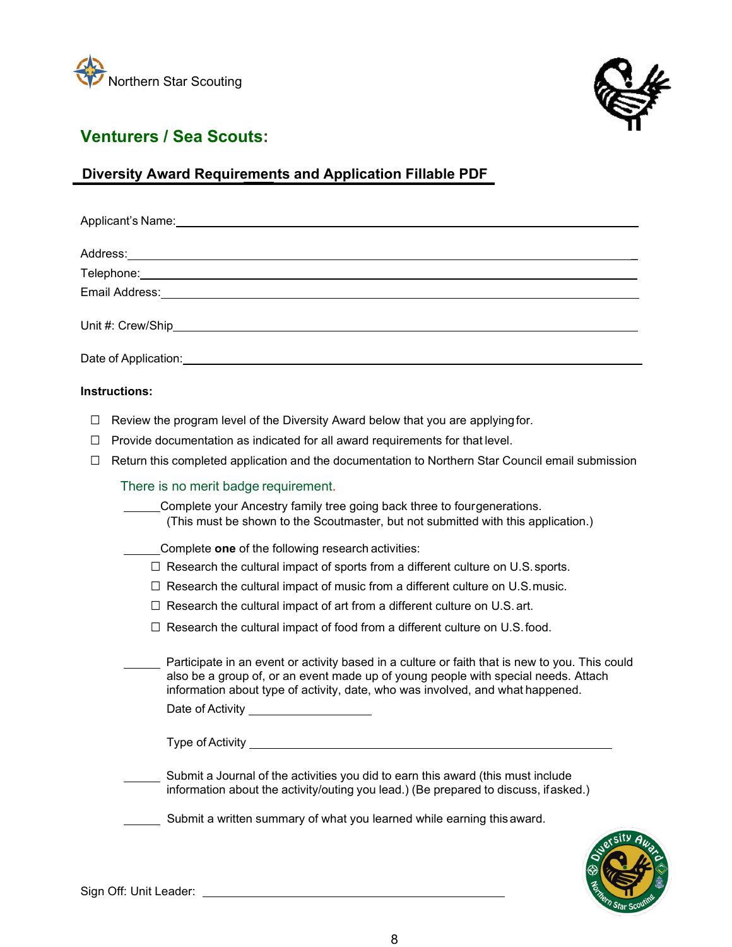<span id="page-7-0"></span>



# **Venturers / Sea Scouts:**

# **Diversity Award Requirements and Application Fillable PDF**

|        | Applicant's Name: Applicant by Name and Applicant by Name and Applicant by Name and Applicant by Name and Applicant by Name and Applicant by Name and Applicant by Name and Applicant by Name and Applicant by Name and Applic                                                                                   |
|--------|------------------------------------------------------------------------------------------------------------------------------------------------------------------------------------------------------------------------------------------------------------------------------------------------------------------|
|        |                                                                                                                                                                                                                                                                                                                  |
|        |                                                                                                                                                                                                                                                                                                                  |
|        |                                                                                                                                                                                                                                                                                                                  |
|        | Unit #: Crew/Ship and the contract of the contract of the contract of the contract of the contract of the contract of the contract of the contract of the contract of the contract of the contract of the contract of the cont                                                                                   |
|        |                                                                                                                                                                                                                                                                                                                  |
|        | <b>Instructions:</b>                                                                                                                                                                                                                                                                                             |
| П      | Review the program level of the Diversity Award below that you are applying for.                                                                                                                                                                                                                                 |
| $\Box$ | Provide documentation as indicated for all award requirements for that level.                                                                                                                                                                                                                                    |
| □      | Return this completed application and the documentation to Northern Star Council email submission                                                                                                                                                                                                                |
|        | There is no merit badge requirement.                                                                                                                                                                                                                                                                             |
|        | Complete your Ancestry family tree going back three to four generations.<br>(This must be shown to the Scoutmaster, but not submitted with this application.)                                                                                                                                                    |
|        | Complete one of the following research activities:                                                                                                                                                                                                                                                               |
|        | $\Box$ Research the cultural impact of sports from a different culture on U.S. sports.                                                                                                                                                                                                                           |
|        | $\Box$ Research the cultural impact of music from a different culture on U.S. music.                                                                                                                                                                                                                             |
|        | $\Box$ Research the cultural impact of art from a different culture on U.S. art.                                                                                                                                                                                                                                 |
|        | $\Box$ Research the cultural impact of food from a different culture on U.S. food.                                                                                                                                                                                                                               |
|        | Participate in an event or activity based in a culture or faith that is new to you. This could<br>also be a group of, or an event made up of young people with special needs. Attach<br>information about type of activity, date, who was involved, and what happened.<br>Date of Activity _____________________ |
|        |                                                                                                                                                                                                                                                                                                                  |
|        | Submit a Journal of the activities you did to earn this award (this must include<br>information about the activity/outing you lead.) (Be prepared to discuss, ifasked.)                                                                                                                                          |
|        | Submit a written summary of what you learned while earning this award.                                                                                                                                                                                                                                           |

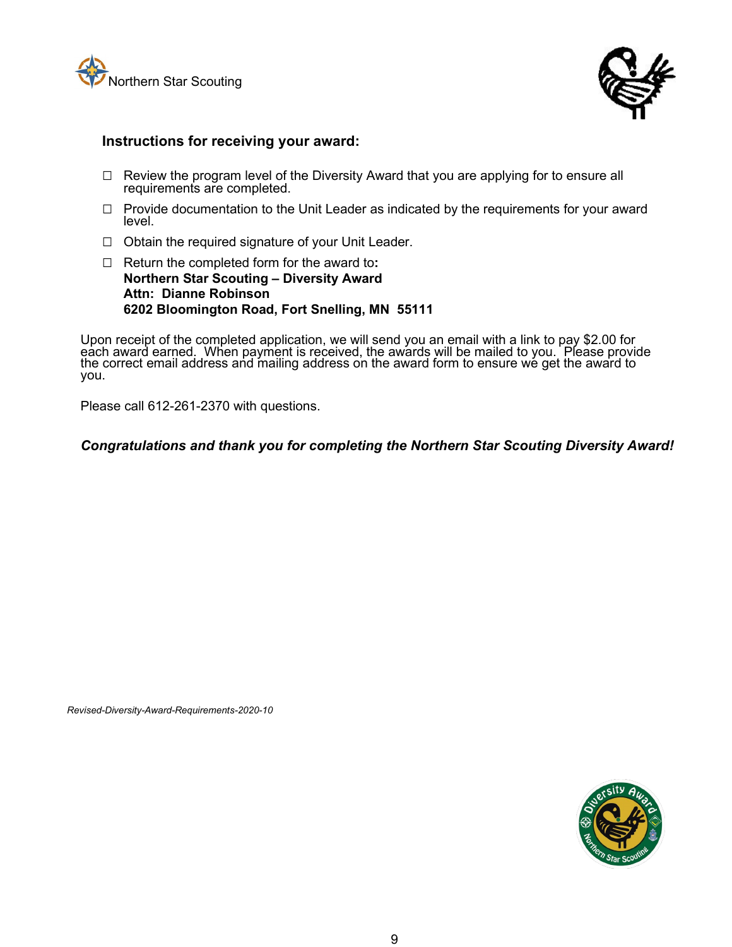



- $\Box$  Review the program level of the Diversity Award that you are applying for to ensure all requirements are completed.
- □ Provide documentation to the Unit Leader as indicated by the requirements for your award level.
- □ Obtain the required signature of your Unit Leader.
- □ Return the completed form for the award to**: Northern Star Scouting – Diversity Award Attn: Dianne Robinson 6202 Bloomington Road, Fort Snelling, MN 55111**

Upon receipt of the completed application, we will send you an email with a link to pay \$2.00 for each award earned. When payment is received, the awards will be mailed to you. Please provide the correct email address and mailing address on the award form to ensure we get the award to you.

Please call 612-261-2370 with questions.

*Congratulations and thank you for completing the Northern Star Scouting Diversity Award!*

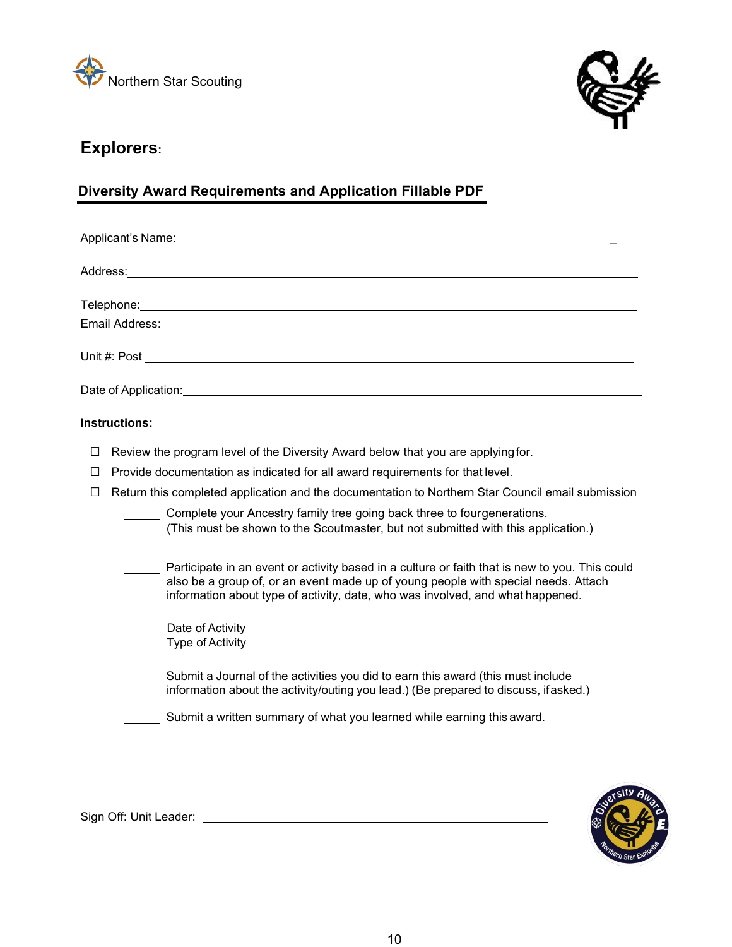<span id="page-9-0"></span>



## **Explorers:**

### **Diversity Award Requirements and Application Fillable PDF**

| Applicant's Name: Applicant by Name and Applicant by Name and Applicant by Name and Applicant by Name and Applicant by Name and Applicant by Name and Applicant by Name and Applicant by Name and Applicant by Name and Applic |  |  |  |
|--------------------------------------------------------------------------------------------------------------------------------------------------------------------------------------------------------------------------------|--|--|--|
|                                                                                                                                                                                                                                |  |  |  |
|                                                                                                                                                                                                                                |  |  |  |
| Email Address: No. 2020 No. 2020 No. 2020 No. 2020 No. 2020 No. 2020 No. 2020 No. 2020 No. 2020 No. 2020 No. 20                                                                                                                |  |  |  |
|                                                                                                                                                                                                                                |  |  |  |
|                                                                                                                                                                                                                                |  |  |  |
| Instructions:                                                                                                                                                                                                                  |  |  |  |
| Review the program level of the Diversity Award below that you are applying for.<br>$\Box$                                                                                                                                     |  |  |  |

- □ Provide documentation as indicated for all award requirements for that level.
- □ Return this completed application and the documentation to Northern Star Council email submission

| Complete your Ancestry family tree going back three to fourgenerations. |                                                                                   |  |  |  |
|-------------------------------------------------------------------------|-----------------------------------------------------------------------------------|--|--|--|
|                                                                         | (This must be shown to the Scoutmaster, but not submitted with this application.) |  |  |  |

| Participate in an event or activity based in a culture or faith that is new to you. This could |
|------------------------------------------------------------------------------------------------|
| also be a group of, or an event made up of young people with special needs. Attach             |
| information about type of activity, date, who was involved, and what happened.                 |

| Date of Activity |  |  |
|------------------|--|--|
| Type of Activity |  |  |
|                  |  |  |

| Submit a Journal of the activities you did to earn this award (this must include     |
|--------------------------------------------------------------------------------------|
| information about the activity/outing you lead.) (Be prepared to discuss, if asked.) |

Submit a written summary of what you learned while earning this award.



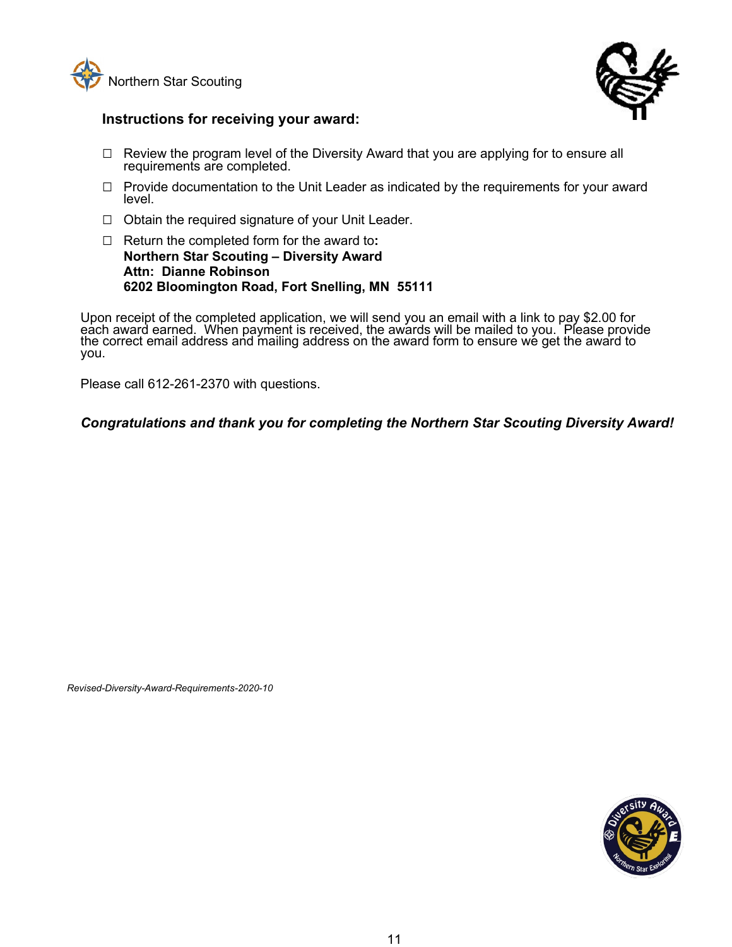



- $\Box$  Review the program level of the Diversity Award that you are applying for to ensure all requirements are completed.
- □ Provide documentation to the Unit Leader as indicated by the requirements for your award level.
- $\Box$  Obtain the required signature of your Unit Leader.
- □ Return the completed form for the award to**: Northern Star Scouting – Diversity Award Attn: Dianne Robinson 6202 Bloomington Road, Fort Snelling, MN 55111**

Upon receipt of the completed application, we will send you an email with a link to pay \$2.00 for each award earned. When payment is received, the awards will be mailed to you. Please provide the correct email address and mailing address on the award form to ensure we get the award to you.

Please call 612-261-2370 with questions.

*Congratulations and thank you for completing the Northern Star Scouting Diversity Award!*

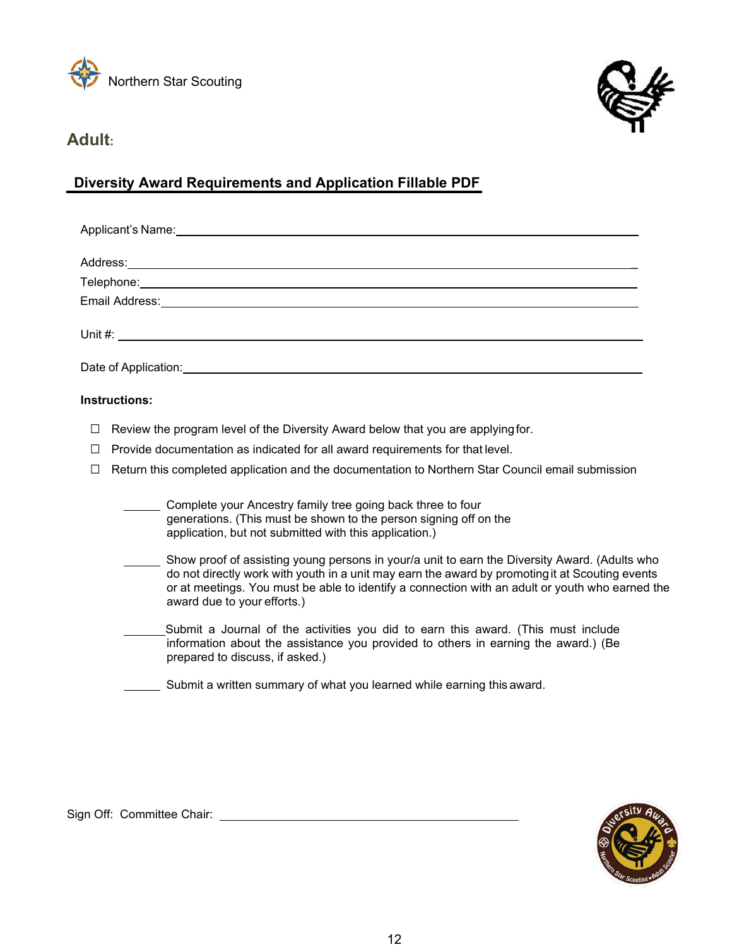<span id="page-11-0"></span>



### **Adult:**

### **Diversity Award Requirements and Application Fillable PDF**

| Applicant's Name: experience of the state of the state of the state of the state of the state of the state of the state of the state of the state of the state of the state of the state of the state of the state of the stat |  |  |  |
|--------------------------------------------------------------------------------------------------------------------------------------------------------------------------------------------------------------------------------|--|--|--|
|                                                                                                                                                                                                                                |  |  |  |
|                                                                                                                                                                                                                                |  |  |  |
|                                                                                                                                                                                                                                |  |  |  |
|                                                                                                                                                                                                                                |  |  |  |
| Date of Application: The Contract of Application:                                                                                                                                                                              |  |  |  |

#### **Instructions:**

- $\Box$  Review the program level of the Diversity Award below that you are applying for.
- $\Box$  Provide documentation as indicated for all award requirements for that level.
- $\Box$  Return this completed application and the documentation to Northern Star Council email submission

 Complete your Ancestry family tree going back three to four generations. (This must be shown to the person signing off on the application, but not submitted with this application.)

- Show proof of assisting young persons in your/a unit to earn the Diversity Award. (Adults who do not directly work with youth in a unit may earn the award by promotingit at Scouting events or at meetings. You must be able to identify a connection with an adult or youth who earned the award due to your efforts.)
- Submit a Journal of the activities you did to earn this award. (This must include information about the assistance you provided to others in earning the award.) (Be prepared to discuss, if asked.)

Submit a written summary of what you learned while earning this award.

Sign Off: Committee Chair: \_\_\_\_\_\_\_\_\_\_\_\_\_\_\_\_\_\_\_\_\_\_